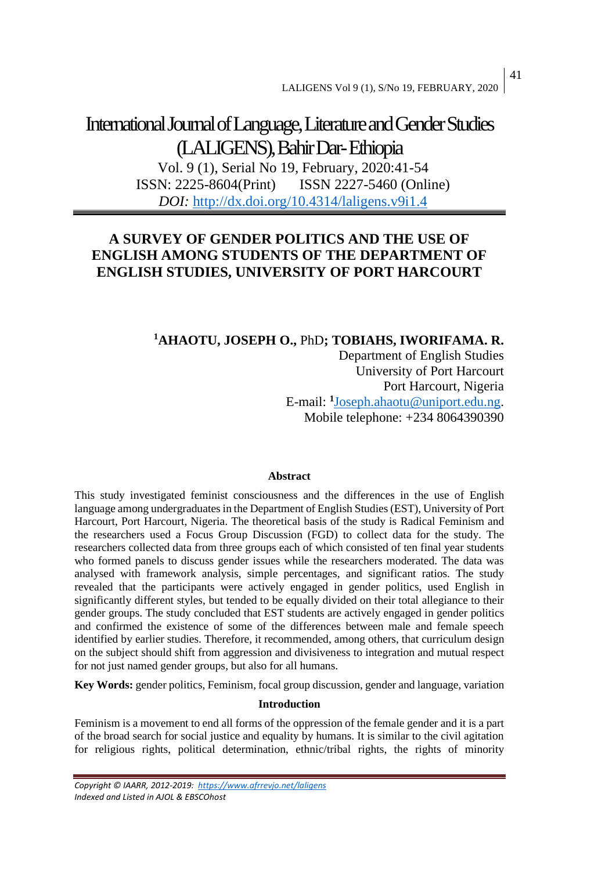# International Journal of Language, Literature and Gender Studies (LALIGENS), Bahir Dar-Ethiopia

Vol. 9 (1), Serial No 19, February, 2020:41-54 ISSN: 2225-8604(Print) ISSN 2227-5460 (Online) *DOI:* <http://dx.doi.org/10.4314/laligens.v9i1.4>

# **A SURVEY OF GENDER POLITICS AND THE USE OF ENGLISH AMONG STUDENTS OF THE DEPARTMENT OF ENGLISH STUDIES, UNIVERSITY OF PORT HARCOURT**

# **<sup>1</sup>AHAOTU, JOSEPH O.,** PhD**; TOBIAHS, IWORIFAMA. R.**

Department of English Studies University of Port Harcourt Port Harcourt, Nigeria E-mail: **<sup>1</sup>** [Joseph.ahaotu@uniport.edu.ng.](mailto:Joseph.ahaotu@uniport.edu.ng) Mobile telephone: +234 8064390390

## **Abstract**

This study investigated feminist consciousness and the differences in the use of English language among undergraduates in the Department of English Studies(EST), University of Port Harcourt, Port Harcourt, Nigeria. The theoretical basis of the study is Radical Feminism and the researchers used a Focus Group Discussion (FGD) to collect data for the study. The researchers collected data from three groups each of which consisted of ten final year students who formed panels to discuss gender issues while the researchers moderated. The data was analysed with framework analysis, simple percentages, and significant ratios. The study revealed that the participants were actively engaged in gender politics, used English in significantly different styles, but tended to be equally divided on their total allegiance to their gender groups. The study concluded that EST students are actively engaged in gender politics and confirmed the existence of some of the differences between male and female speech identified by earlier studies. Therefore, it recommended, among others, that curriculum design on the subject should shift from aggression and divisiveness to integration and mutual respect for not just named gender groups, but also for all humans.

**Key Words:** gender politics, Feminism, focal group discussion, gender and language, variation

## **Introduction**

Feminism is a movement to end all forms of the oppression of the female gender and it is a part of the broad search for social justice and equality by humans. It is similar to the civil agitation for religious rights, political determination, ethnic/tribal rights, the rights of minority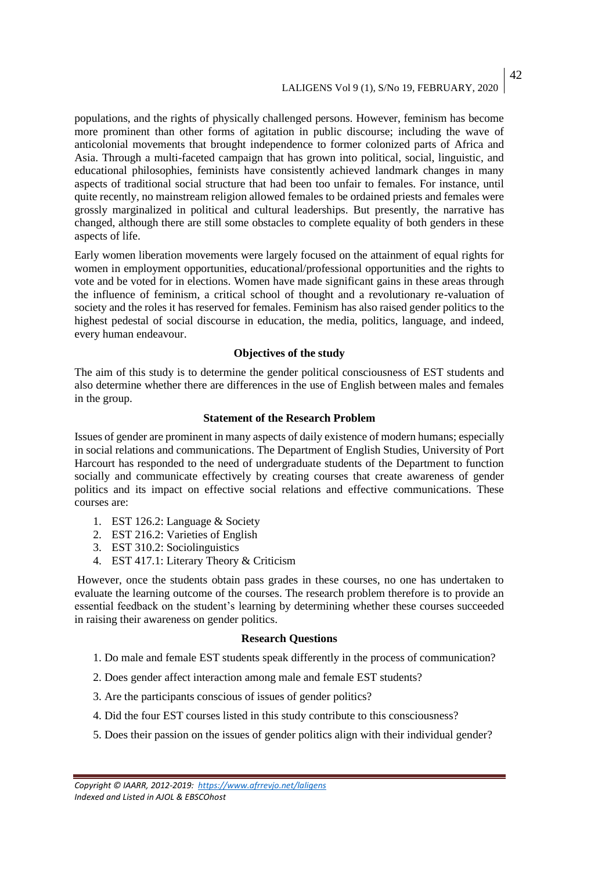## LALIGENS Vol 9 (1), S/No 19, FEBRUARY, 2020 42

populations, and the rights of physically challenged persons. However, feminism has become more prominent than other forms of agitation in public discourse; including the wave of anticolonial movements that brought independence to former colonized parts of Africa and Asia. Through a multi-faceted campaign that has grown into political, social, linguistic, and educational philosophies, feminists have consistently achieved landmark changes in many aspects of traditional social structure that had been too unfair to females. For instance, until quite recently, no mainstream religion allowed females to be ordained priests and females were grossly marginalized in political and cultural leaderships. But presently, the narrative has changed, although there are still some obstacles to complete equality of both genders in these aspects of life.

Early women liberation movements were largely focused on the attainment of equal rights for women in employment opportunities, educational/professional opportunities and the rights to vote and be voted for in elections. Women have made significant gains in these areas through the influence of feminism, a critical school of thought and a revolutionary re-valuation of society and the roles it has reserved for females. Feminism has also raised gender politics to the highest pedestal of social discourse in education, the media, politics, language, and indeed, every human endeavour.

#### **Objectives of the study**

The aim of this study is to determine the gender political consciousness of EST students and also determine whether there are differences in the use of English between males and females in the group.

#### **Statement of the Research Problem**

Issues of gender are prominent in many aspects of daily existence of modern humans; especially in social relations and communications. The Department of English Studies, University of Port Harcourt has responded to the need of undergraduate students of the Department to function socially and communicate effectively by creating courses that create awareness of gender politics and its impact on effective social relations and effective communications. These courses are:

- 1. EST 126.2: Language & Society
- 2. EST 216.2: Varieties of English
- 3. EST 310.2: Sociolinguistics
- 4. EST 417.1: Literary Theory & Criticism

However, once the students obtain pass grades in these courses, no one has undertaken to evaluate the learning outcome of the courses. The research problem therefore is to provide an essential feedback on the student's learning by determining whether these courses succeeded in raising their awareness on gender politics.

#### **Research Questions**

- 1. Do male and female EST students speak differently in the process of communication?
- 2. Does gender affect interaction among male and female EST students?
- 3. Are the participants conscious of issues of gender politics?
- 4. Did the four EST courses listed in this study contribute to this consciousness?
- 5. Does their passion on the issues of gender politics align with their individual gender?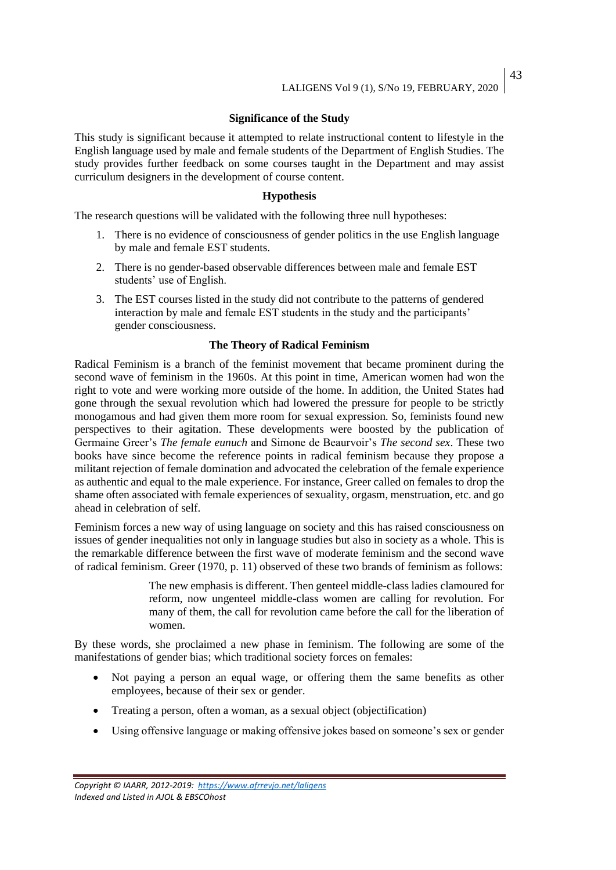# **Significance of the Study**

This study is significant because it attempted to relate instructional content to lifestyle in the English language used by male and female students of the Department of English Studies. The study provides further feedback on some courses taught in the Department and may assist curriculum designers in the development of course content.

#### **Hypothesis**

The research questions will be validated with the following three null hypotheses:

- 1. There is no evidence of consciousness of gender politics in the use English language by male and female EST students.
- 2. There is no gender-based observable differences between male and female EST students' use of English.
- 3. The EST courses listed in the study did not contribute to the patterns of gendered interaction by male and female EST students in the study and the participants' gender consciousness.

## **The Theory of Radical Feminism**

Radical Feminism is a branch of the feminist movement that became prominent during the second wave of feminism in the 1960s. At this point in time, American women had won the right to vote and were working more outside of the home. In addition, the United States had gone through the sexual revolution which had lowered the pressure for people to be strictly monogamous and had given them more room for sexual expression. So, feminists found new perspectives to their agitation. These developments were boosted by the publication of Germaine Greer's *The female eunuch* and Simone de Beaurvoir's *The second sex*. These two books have since become the reference points in radical feminism because they propose a militant rejection of female domination and advocated the celebration of the female experience as authentic and equal to the male experience. For instance, Greer called on females to drop the shame often associated with female experiences of sexuality, orgasm, menstruation, etc. and go ahead in celebration of self.

Feminism forces a new way of using language on society and this has raised consciousness on issues of gender inequalities not only in language studies but also in society as a whole. This is the remarkable difference between the first wave of moderate feminism and the second wave of radical feminism. Greer (1970, p. 11) observed of these two brands of feminism as follows:

> The new emphasis is different. Then genteel middle-class ladies clamoured for reform, now ungenteel middle-class women are calling for revolution. For many of them, the call for revolution came before the call for the liberation of women.

By these words, she proclaimed a new phase in feminism. The following are some of the manifestations of gender bias; which traditional society forces on females:

- Not paying a person an equal wage, or offering them the same benefits as other employees, because of their sex or gender.
- Treating a person, often a woman, as a sexual object (objectification)
- Using offensive language or making offensive jokes based on someone's sex or gender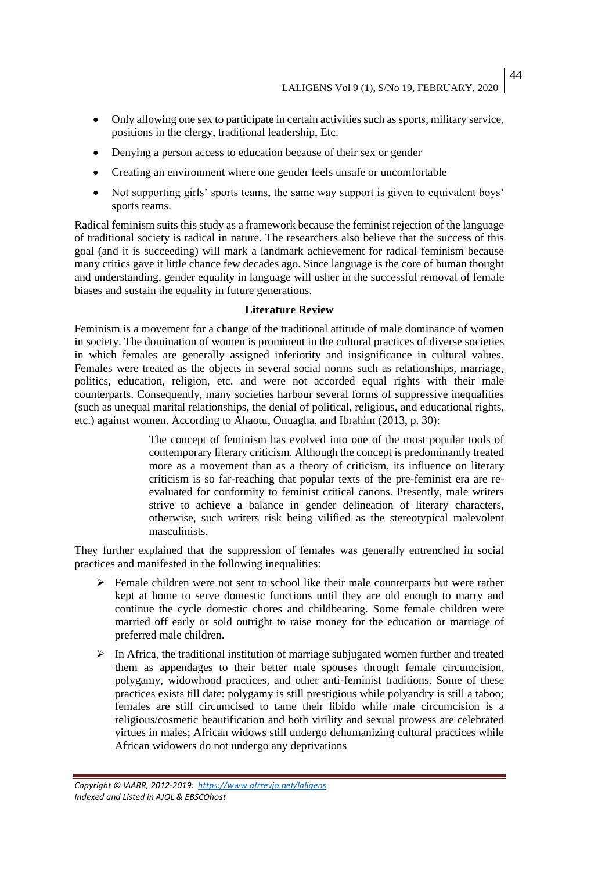- Only allowing one sex to participate in certain activities such as sports, military service, positions in the clergy, traditional leadership, Etc.
- Denying a person access to education because of their sex or gender
- Creating an environment where one gender feels unsafe or uncomfortable
- Not supporting girls' sports teams, the same way support is given to equivalent boys' sports teams.

Radical feminism suits this study as a framework because the feminist rejection of the language of traditional society is radical in nature. The researchers also believe that the success of this goal (and it is succeeding) will mark a landmark achievement for radical feminism because many critics gave it little chance few decades ago. Since language is the core of human thought and understanding, gender equality in language will usher in the successful removal of female biases and sustain the equality in future generations.

## **Literature Review**

Feminism is a movement for a change of the traditional attitude of male dominance of women in society. The domination of women is prominent in the cultural practices of diverse societies in which females are generally assigned inferiority and insignificance in cultural values. Females were treated as the objects in several social norms such as relationships, marriage, politics, education, religion, etc. and were not accorded equal rights with their male counterparts. Consequently, many societies harbour several forms of suppressive inequalities (such as unequal marital relationships, the denial of political, religious, and educational rights, etc.) against women. According to Ahaotu, Onuagha, and Ibrahim (2013, p. 30):

> The concept of feminism has evolved into one of the most popular tools of contemporary literary criticism. Although the concept is predominantly treated more as a movement than as a theory of criticism, its influence on literary criticism is so far-reaching that popular texts of the pre-feminist era are reevaluated for conformity to feminist critical canons. Presently, male writers strive to achieve a balance in gender delineation of literary characters, otherwise, such writers risk being vilified as the stereotypical malevolent masculinists.

They further explained that the suppression of females was generally entrenched in social practices and manifested in the following inequalities:

- ➢ Female children were not sent to school like their male counterparts but were rather kept at home to serve domestic functions until they are old enough to marry and continue the cycle domestic chores and childbearing. Some female children were married off early or sold outright to raise money for the education or marriage of preferred male children.
- ➢ In Africa, the traditional institution of marriage subjugated women further and treated them as appendages to their better male spouses through female circumcision, polygamy, widowhood practices, and other anti-feminist traditions. Some of these practices exists till date: polygamy is still prestigious while polyandry is still a taboo; females are still circumcised to tame their libido while male circumcision is a religious/cosmetic beautification and both virility and sexual prowess are celebrated virtues in males; African widows still undergo dehumanizing cultural practices while African widowers do not undergo any deprivations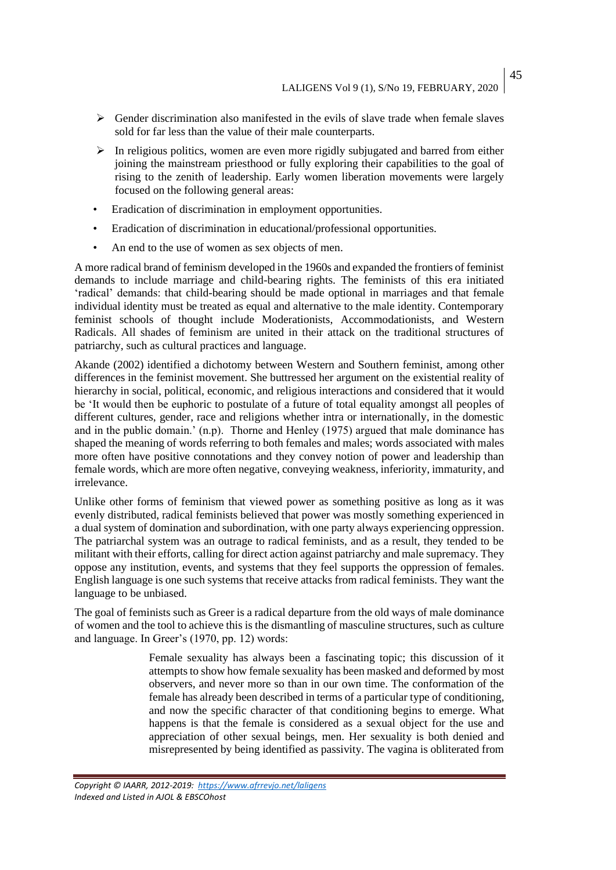45

- $\triangleright$  Gender discrimination also manifested in the evils of slave trade when female slaves sold for far less than the value of their male counterparts.
- $\triangleright$  In religious politics, women are even more rigidly subjugated and barred from either joining the mainstream priesthood or fully exploring their capabilities to the goal of rising to the zenith of leadership. Early women liberation movements were largely focused on the following general areas:
- Eradication of discrimination in employment opportunities.
- Eradication of discrimination in educational/professional opportunities.
- An end to the use of women as sex objects of men.

A more radical brand of feminism developed in the 1960s and expanded the frontiers of feminist demands to include marriage and child-bearing rights. The feminists of this era initiated 'radical' demands: that child-bearing should be made optional in marriages and that female individual identity must be treated as equal and alternative to the male identity. Contemporary feminist schools of thought include Moderationists, Accommodationists, and Western Radicals. All shades of feminism are united in their attack on the traditional structures of patriarchy, such as cultural practices and language.

Akande (2002) identified a dichotomy between Western and Southern feminist, among other differences in the feminist movement. She buttressed her argument on the existential reality of hierarchy in social, political, economic, and religious interactions and considered that it would be 'It would then be euphoric to postulate of a future of total equality amongst all peoples of different cultures, gender, race and religions whether intra or internationally, in the domestic and in the public domain.' (n.p). Thorne and Henley (1975) argued that male dominance has shaped the meaning of words referring to both females and males; words associated with males more often have positive connotations and they convey notion of power and leadership than female words, which are more often negative, conveying weakness, inferiority, immaturity, and irrelevance.

Unlike other forms of feminism that viewed power as something positive as long as it was evenly distributed, radical feminists believed that power was mostly something experienced in a dual system of domination and subordination, with one party always experiencing oppression. The patriarchal system was an outrage to radical feminists, and as a result, they tended to be militant with their efforts, calling for direct action against patriarchy and male supremacy. They oppose any institution, events, and systems that they feel supports the oppression of females. English language is one such systems that receive attacks from radical feminists. They want the language to be unbiased.

The goal of feminists such as Greer is a radical departure from the old ways of male dominance of women and the tool to achieve this is the dismantling of masculine structures, such as culture and language. In Greer's (1970, pp. 12) words:

> Female sexuality has always been a fascinating topic; this discussion of it attempts to show how female sexuality has been masked and deformed by most observers, and never more so than in our own time. The conformation of the female has already been described in terms of a particular type of conditioning, and now the specific character of that conditioning begins to emerge. What happens is that the female is considered as a sexual object for the use and appreciation of other sexual beings, men. Her sexuality is both denied and misrepresented by being identified as passivity. The vagina is obliterated from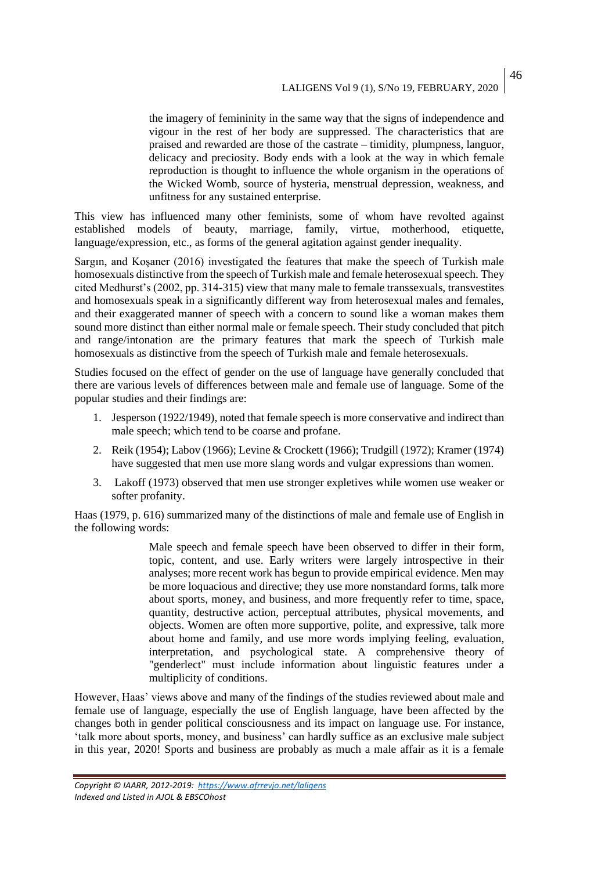the imagery of femininity in the same way that the signs of independence and vigour in the rest of her body are suppressed. The characteristics that are praised and rewarded are those of the castrate – timidity, plumpness, languor, delicacy and preciosity. Body ends with a look at the way in which female reproduction is thought to influence the whole organism in the operations of the Wicked Womb, source of hysteria, menstrual depression, weakness, and unfitness for any sustained enterprise.

This view has influenced many other feminists, some of whom have revolted against established models of beauty, marriage, family, virtue, motherhood, etiquette, language/expression, etc., as forms of the general agitation against gender inequality.

Sargın, and Koşaner (2016) investigated the features that make the speech of Turkish male homosexuals distinctive from the speech of Turkish male and female heterosexual speech. They cited Medhurst's (2002, pp. 314-315) view that many male to female transsexuals, transvestites and homosexuals speak in a significantly different way from heterosexual males and females, and their exaggerated manner of speech with a concern to sound like a woman makes them sound more distinct than either normal male or female speech. Their study concluded that pitch and range/intonation are the primary features that mark the speech of Turkish male homosexuals as distinctive from the speech of Turkish male and female heterosexuals.

Studies focused on the effect of gender on the use of language have generally concluded that there are various levels of differences between male and female use of language. Some of the popular studies and their findings are:

- 1. Jesperson (1922/1949), noted that female speech is more conservative and indirect than male speech; which tend to be coarse and profane.
- 2. Reik (1954); Labov (1966); Levine & Crockett (1966); Trudgill (1972); Kramer (1974) have suggested that men use more slang words and vulgar expressions than women.
- 3. Lakoff (1973) observed that men use stronger expletives while women use weaker or softer profanity.

Haas (1979, p. 616) summarized many of the distinctions of male and female use of English in the following words:

> Male speech and female speech have been observed to differ in their form, topic, content, and use. Early writers were largely introspective in their analyses; more recent work has begun to provide empirical evidence. Men may be more loquacious and directive; they use more nonstandard forms, talk more about sports, money, and business, and more frequently refer to time, space, quantity, destructive action, perceptual attributes, physical movements, and objects. Women are often more supportive, polite, and expressive, talk more about home and family, and use more words implying feeling, evaluation, interpretation, and psychological state. A comprehensive theory of "genderlect" must include information about linguistic features under a multiplicity of conditions.

However, Haas' views above and many of the findings of the studies reviewed about male and female use of language, especially the use of English language, have been affected by the changes both in gender political consciousness and its impact on language use. For instance, 'talk more about sports, money, and business' can hardly suffice as an exclusive male subject in this year, 2020! Sports and business are probably as much a male affair as it is a female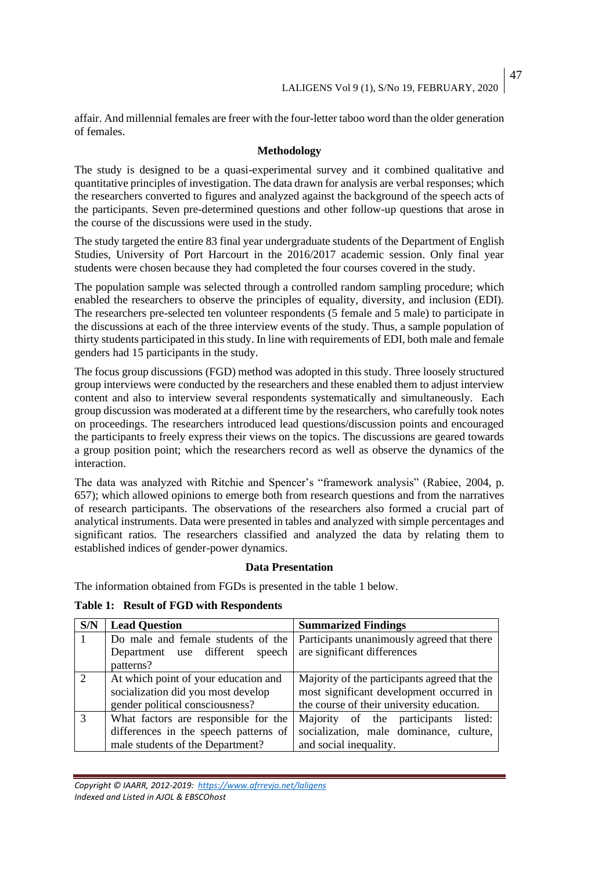affair. And millennial females are freer with the four-letter taboo word than the older generation of females.

# **Methodology**

The study is designed to be a quasi-experimental survey and it combined qualitative and quantitative principles of investigation. The data drawn for analysis are verbal responses; which the researchers converted to figures and analyzed against the background of the speech acts of the participants. Seven pre-determined questions and other follow-up questions that arose in the course of the discussions were used in the study.

The study targeted the entire 83 final year undergraduate students of the Department of English Studies, University of Port Harcourt in the 2016/2017 academic session. Only final year students were chosen because they had completed the four courses covered in the study.

The population sample was selected through a controlled random sampling procedure; which enabled the researchers to observe the principles of equality, diversity, and inclusion (EDI). The researchers pre-selected ten volunteer respondents (5 female and 5 male) to participate in the discussions at each of the three interview events of the study. Thus, a sample population of thirty students participated in this study. In line with requirements of EDI, both male and female genders had 15 participants in the study.

The focus group discussions (FGD) method was adopted in this study. Three loosely structured group interviews were conducted by the researchers and these enabled them to adjust interview content and also to interview several respondents systematically and simultaneously. Each group discussion was moderated at a different time by the researchers, who carefully took notes on proceedings. The researchers introduced lead questions/discussion points and encouraged the participants to freely express their views on the topics. The discussions are geared towards a group position point; which the researchers record as well as observe the dynamics of the interaction.

The data was analyzed with Ritchie and Spencer's "framework analysis" (Rabiee, 2004, p. 657); which allowed opinions to emerge both from research questions and from the narratives of research participants. The observations of the researchers also formed a crucial part of analytical instruments. Data were presented in tables and analyzed with simple percentages and significant ratios. The researchers classified and analyzed the data by relating them to established indices of gender-power dynamics.

## **Data Presentation**

The information obtained from FGDs is presented in the table 1 below.

**Table 1: Result of FGD with Respondents** 

| S/N           | <b>Lead Question</b>                  | <b>Summarized Findings</b>                   |  |  |  |
|---------------|---------------------------------------|----------------------------------------------|--|--|--|
|               | Do male and female students of the    | Participants unanimously agreed that there   |  |  |  |
|               | Department use different speech       | are significant differences                  |  |  |  |
|               | patterns?                             |                                              |  |  |  |
| $\mathcal{D}$ | At which point of your education and  | Majority of the participants agreed that the |  |  |  |
|               | socialization did you most develop    | most significant development occurred in     |  |  |  |
|               | gender political consciousness?       | the course of their university education.    |  |  |  |
| $\mathcal{R}$ | What factors are responsible for the  | Majority of the participants<br>listed:      |  |  |  |
|               | differences in the speech patterns of | socialization, male dominance, culture,      |  |  |  |
|               | male students of the Department?      | and social inequality.                       |  |  |  |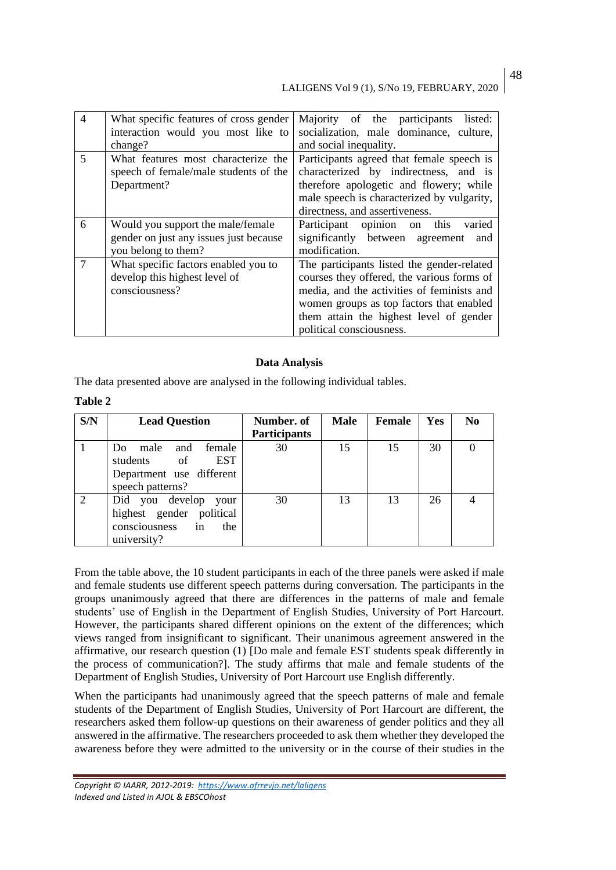# LALIGENS Vol 9 (1), S/No 19, FEBRUARY, 2020

| $\overline{4}$ | What specific features of cross gender<br>interaction would you most like to<br>change?            | Majority of the participants<br>listed:<br>socialization, male dominance, culture,<br>and social inequality.                                                                                                                                              |  |  |  |
|----------------|----------------------------------------------------------------------------------------------------|-----------------------------------------------------------------------------------------------------------------------------------------------------------------------------------------------------------------------------------------------------------|--|--|--|
| 5              | What features most characterize the<br>speech of female/male students of the<br>Department?        | Participants agreed that female speech is<br>characterized by indirectness, and is<br>therefore apologetic and flowery; while<br>male speech is characterized by vulgarity,<br>directness, and assertiveness.                                             |  |  |  |
| 6              | Would you support the male/female<br>gender on just any issues just because<br>you belong to them? | varied<br>Participant opinion on<br>this<br>significantly between agreement<br>and<br>modification.                                                                                                                                                       |  |  |  |
| $\tau$         | What specific factors enabled you to<br>develop this highest level of<br>consciousness?            | The participants listed the gender-related<br>courses they offered, the various forms of<br>media, and the activities of feminists and<br>women groups as top factors that enabled<br>them attain the highest level of gender<br>political consciousness. |  |  |  |

## **Data Analysis**

The data presented above are analysed in the following individual tables.

| anı<br>۱<br>÷ |  |
|---------------|--|
|---------------|--|

| S/N | <b>Lead Question</b>                                                                                         | Number. of<br><b>Participants</b> | <b>Male</b> | <b>Female</b> | <b>Yes</b> | N <sub>0</sub> |
|-----|--------------------------------------------------------------------------------------------------------------|-----------------------------------|-------------|---------------|------------|----------------|
|     | male<br>and<br>female<br>Do.<br><b>EST</b><br>of<br>students<br>Department use different<br>speech patterns? | 30                                | 15          | 15            | 30         |                |
| 2   | Did you develop your<br>highest gender political<br>consciousness<br>the<br>in<br>university?                | 30                                | 13          | 13            | 26         |                |

From the table above, the 10 student participants in each of the three panels were asked if male and female students use different speech patterns during conversation. The participants in the groups unanimously agreed that there are differences in the patterns of male and female students' use of English in the Department of English Studies, University of Port Harcourt. However, the participants shared different opinions on the extent of the differences; which views ranged from insignificant to significant. Their unanimous agreement answered in the affirmative, our research question (1) [Do male and female EST students speak differently in the process of communication?]. The study affirms that male and female students of the Department of English Studies, University of Port Harcourt use English differently.

When the participants had unanimously agreed that the speech patterns of male and female students of the Department of English Studies, University of Port Harcourt are different, the researchers asked them follow-up questions on their awareness of gender politics and they all answered in the affirmative. The researchers proceeded to ask them whether they developed the awareness before they were admitted to the university or in the course of their studies in the

48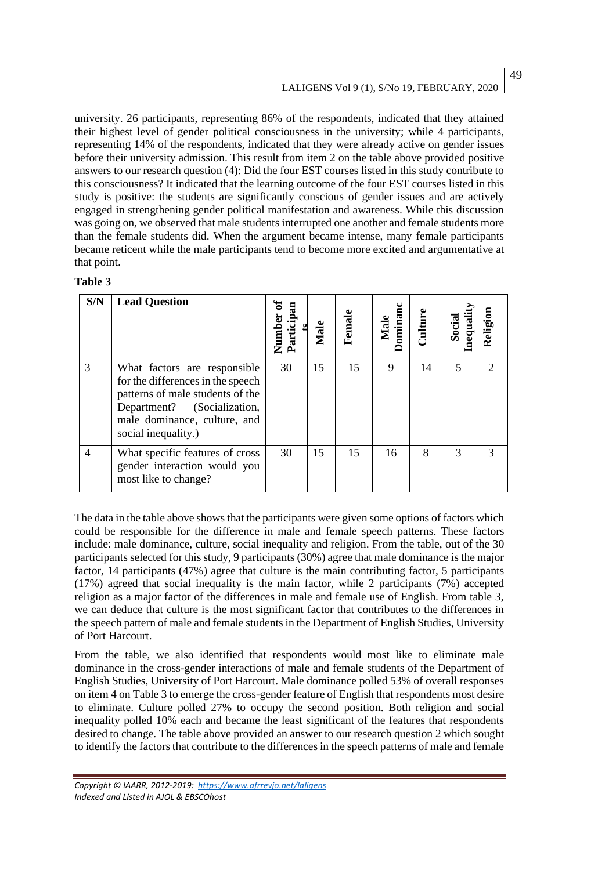49

university. 26 participants, representing 86% of the respondents, indicated that they attained their highest level of gender political consciousness in the university; while 4 participants, representing 14% of the respondents, indicated that they were already active on gender issues before their university admission. This result from item 2 on the table above provided positive answers to our research question (4): Did the four EST courses listed in this study contribute to this consciousness? It indicated that the learning outcome of the four EST courses listed in this study is positive: the students are significantly conscious of gender issues and are actively engaged in strengthening gender political manifestation and awareness. While this discussion was going on, we observed that male students interrupted one another and female students more than the female students did. When the argument became intense, many female participants became reticent while the male participants tend to become more excited and argumentative at that point.

# **Table 3**

| S/N            | <b>Lead Question</b>                                                                                                                                                                        | Numl<br>Partic | Male | Femal | ominano<br>Male | Culture | nequali<br>Social | Religion      |
|----------------|---------------------------------------------------------------------------------------------------------------------------------------------------------------------------------------------|----------------|------|-------|-----------------|---------|-------------------|---------------|
| 3              | What factors are responsible<br>for the differences in the speech<br>patterns of male students of the<br>Department? (Socialization,<br>male dominance, culture, and<br>social inequality.) | 30             | 15   | 15    | 9               | 14      | 5                 | $\mathcal{D}$ |
| $\overline{4}$ | What specific features of cross<br>gender interaction would you<br>most like to change?                                                                                                     | 30             | 15   | 15    | 16              | 8       | 3                 | 3             |

The data in the table above shows that the participants were given some options of factors which could be responsible for the difference in male and female speech patterns. These factors include: male dominance, culture, social inequality and religion. From the table, out of the 30 participants selected for this study, 9 participants (30%) agree that male dominance is the major factor, 14 participants (47%) agree that culture is the main contributing factor, 5 participants (17%) agreed that social inequality is the main factor, while 2 participants (7%) accepted religion as a major factor of the differences in male and female use of English. From table 3, we can deduce that culture is the most significant factor that contributes to the differences in the speech pattern of male and female students in the Department of English Studies, University of Port Harcourt.

From the table, we also identified that respondents would most like to eliminate male dominance in the cross-gender interactions of male and female students of the Department of English Studies, University of Port Harcourt. Male dominance polled 53% of overall responses on item 4 on Table 3 to emerge the cross-gender feature of English that respondents most desire to eliminate. Culture polled 27% to occupy the second position. Both religion and social inequality polled 10% each and became the least significant of the features that respondents desired to change. The table above provided an answer to our research question 2 which sought to identify the factors that contribute to the differences in the speech patterns of male and female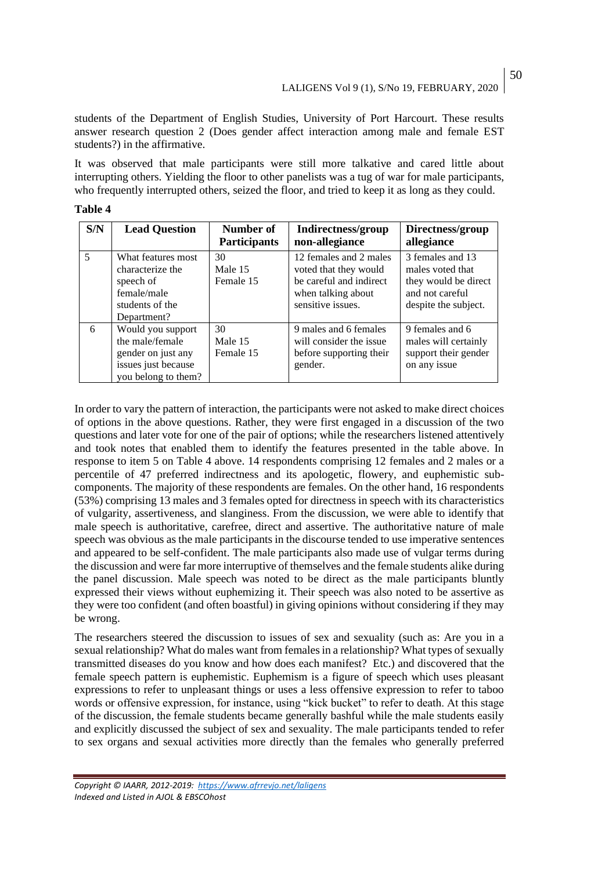students of the Department of English Studies, University of Port Harcourt. These results answer research question 2 (Does gender affect interaction among male and female EST students?) in the affirmative.

It was observed that male participants were still more talkative and cared little about interrupting others. Yielding the floor to other panelists was a tug of war for male participants, who frequently interrupted others, seized the floor, and tried to keep it as long as they could.

| и<br>н | L<br>н |  |
|--------|--------|--|
|        |        |  |

| S/N | <b>Lead Question</b>                                                                                     | Number of<br><b>Participants</b> | Indirectness/group<br>non-allegiance                                                                                  | Directness/group<br>allegiance                                                                          |
|-----|----------------------------------------------------------------------------------------------------------|----------------------------------|-----------------------------------------------------------------------------------------------------------------------|---------------------------------------------------------------------------------------------------------|
| 5   | What features most<br>characterize the<br>speech of<br>female/male<br>students of the<br>Department?     | 30<br>Male 15<br>Female 15       | 12 females and 2 males<br>voted that they would<br>be careful and indirect<br>when talking about<br>sensitive issues. | 3 females and 13<br>males voted that<br>they would be direct<br>and not careful<br>despite the subject. |
| 6   | Would you support<br>the male/female<br>gender on just any<br>issues just because<br>you belong to them? | 30<br>Male 15<br>Female 15       | 9 males and 6 females<br>will consider the issue<br>before supporting their<br>gender.                                | 9 females and 6<br>males will certainly<br>support their gender<br>on any issue                         |

In order to vary the pattern of interaction, the participants were not asked to make direct choices of options in the above questions. Rather, they were first engaged in a discussion of the two questions and later vote for one of the pair of options; while the researchers listened attentively and took notes that enabled them to identify the features presented in the table above. In response to item 5 on Table 4 above. 14 respondents comprising 12 females and 2 males or a percentile of 47 preferred indirectness and its apologetic, flowery, and euphemistic subcomponents. The majority of these respondents are females. On the other hand, 16 respondents (53%) comprising 13 males and 3 females opted for directness in speech with its characteristics of vulgarity, assertiveness, and slanginess. From the discussion, we were able to identify that male speech is authoritative, carefree, direct and assertive. The authoritative nature of male speech was obvious as the male participants in the discourse tended to use imperative sentences and appeared to be self-confident. The male participants also made use of vulgar terms during the discussion and were far more interruptive of themselves and the female students alike during the panel discussion. Male speech was noted to be direct as the male participants bluntly expressed their views without euphemizing it. Their speech was also noted to be assertive as they were too confident (and often boastful) in giving opinions without considering if they may be wrong.

The researchers steered the discussion to issues of sex and sexuality (such as: Are you in a sexual relationship? What do males want from females in a relationship? What types of sexually transmitted diseases do you know and how does each manifest? Etc.) and discovered that the female speech pattern is euphemistic. Euphemism is a figure of speech which uses pleasant expressions to refer to unpleasant things or uses a less offensive expression to refer to taboo words or offensive expression, for instance, using "kick bucket" to refer to death. At this stage of the discussion, the female students became generally bashful while the male students easily and explicitly discussed the subject of sex and sexuality. The male participants tended to refer to sex organs and sexual activities more directly than the females who generally preferred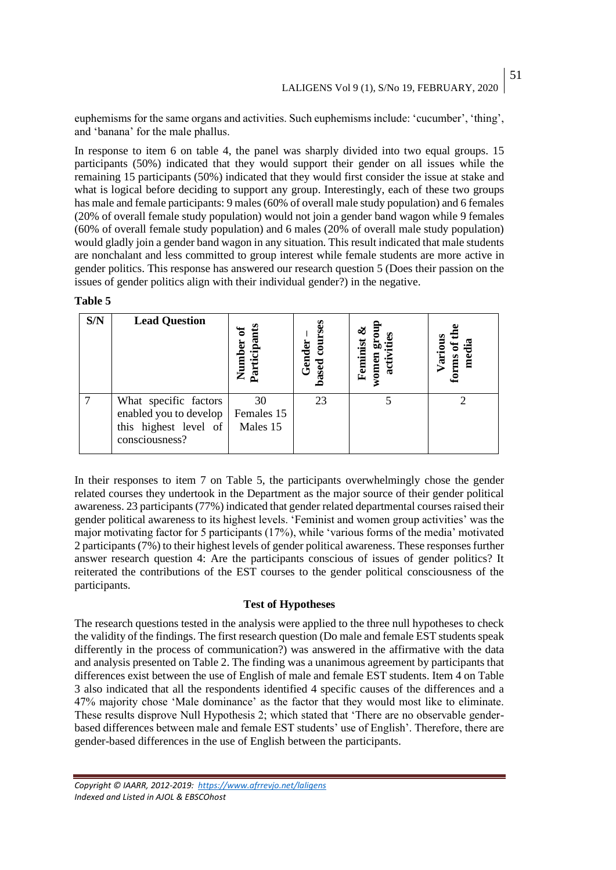euphemisms for the same organs and activities. Such euphemisms include: 'cucumber', 'thing', and 'banana' for the male phallus.

In response to item 6 on table 4, the panel was sharply divided into two equal groups. 15 participants (50%) indicated that they would support their gender on all issues while the remaining 15 participants (50%) indicated that they would first consider the issue at stake and what is logical before deciding to support any group. Interestingly, each of these two groups has male and female participants: 9 males (60% of overall male study population) and 6 females (20% of overall female study population) would not join a gender band wagon while 9 females (60% of overall female study population) and 6 males (20% of overall male study population) would gladly join a gender band wagon in any situation. This result indicated that male students are nonchalant and less committed to group interest while female students are more active in gender politics. This response has answered our research question 5 (Does their passion on the issues of gender politics align with their individual gender?) in the negative.

#### **Table 5**

| S/N | <b>Lead Question</b>                                                                       | Participant<br>mun<br>Num    | course<br>Gender<br>based | Feminist<br>women<br>acti | Various<br>ă<br>forms |
|-----|--------------------------------------------------------------------------------------------|------------------------------|---------------------------|---------------------------|-----------------------|
|     | What specific factors<br>enabled you to develop<br>this highest level of<br>consciousness? | 30<br>Females 15<br>Males 15 | 23                        |                           |                       |

In their responses to item 7 on Table 5, the participants overwhelmingly chose the gender related courses they undertook in the Department as the major source of their gender political awareness. 23 participants (77%) indicated that gender related departmental courses raised their gender political awareness to its highest levels. 'Feminist and women group activities' was the major motivating factor for 5 participants (17%), while 'various forms of the media' motivated 2 participants (7%) to their highest levels of gender political awareness. These responses further answer research question 4: Are the participants conscious of issues of gender politics? It reiterated the contributions of the EST courses to the gender political consciousness of the participants.

## **Test of Hypotheses**

The research questions tested in the analysis were applied to the three null hypotheses to check the validity of the findings. The first research question (Do male and female EST students speak differently in the process of communication?) was answered in the affirmative with the data and analysis presented on Table 2. The finding was a unanimous agreement by participants that differences exist between the use of English of male and female EST students. Item 4 on Table 3 also indicated that all the respondents identified 4 specific causes of the differences and a 47% majority chose 'Male dominance' as the factor that they would most like to eliminate. These results disprove Null Hypothesis 2; which stated that 'There are no observable genderbased differences between male and female EST students' use of English'. Therefore, there are gender-based differences in the use of English between the participants.

51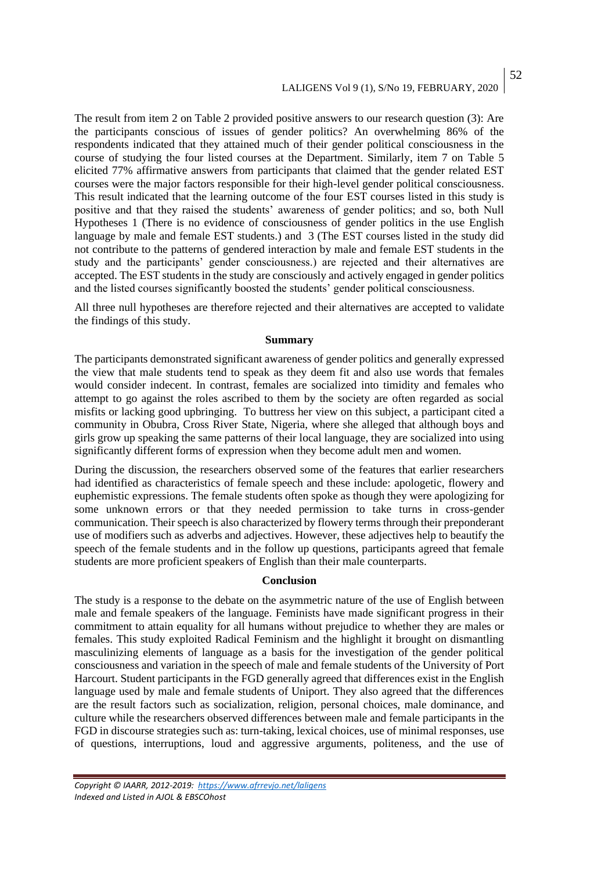# LALIGENS Vol 9 (1), S/No 19, FEBRUARY, 2020

The result from item 2 on Table 2 provided positive answers to our research question (3): Are the participants conscious of issues of gender politics? An overwhelming 86% of the respondents indicated that they attained much of their gender political consciousness in the course of studying the four listed courses at the Department. Similarly, item 7 on Table 5 elicited 77% affirmative answers from participants that claimed that the gender related EST courses were the major factors responsible for their high-level gender political consciousness. This result indicated that the learning outcome of the four EST courses listed in this study is positive and that they raised the students' awareness of gender politics; and so, both Null Hypotheses 1 (There is no evidence of consciousness of gender politics in the use English language by male and female EST students.) and 3 (The EST courses listed in the study did not contribute to the patterns of gendered interaction by male and female EST students in the study and the participants' gender consciousness.) are rejected and their alternatives are accepted. The EST students in the study are consciously and actively engaged in gender politics and the listed courses significantly boosted the students' gender political consciousness.

All three null hypotheses are therefore rejected and their alternatives are accepted to validate the findings of this study.

#### **Summary**

The participants demonstrated significant awareness of gender politics and generally expressed the view that male students tend to speak as they deem fit and also use words that females would consider indecent. In contrast, females are socialized into timidity and females who attempt to go against the roles ascribed to them by the society are often regarded as social misfits or lacking good upbringing. To buttress her view on this subject, a participant cited a community in Obubra, Cross River State, Nigeria, where she alleged that although boys and girls grow up speaking the same patterns of their local language, they are socialized into using significantly different forms of expression when they become adult men and women.

During the discussion, the researchers observed some of the features that earlier researchers had identified as characteristics of female speech and these include: apologetic, flowery and euphemistic expressions. The female students often spoke as though they were apologizing for some unknown errors or that they needed permission to take turns in cross-gender communication. Their speech is also characterized by flowery terms through their preponderant use of modifiers such as adverbs and adjectives. However, these adjectives help to beautify the speech of the female students and in the follow up questions, participants agreed that female students are more proficient speakers of English than their male counterparts.

#### **Conclusion**

The study is a response to the debate on the asymmetric nature of the use of English between male and female speakers of the language. Feminists have made significant progress in their commitment to attain equality for all humans without prejudice to whether they are males or females. This study exploited Radical Feminism and the highlight it brought on dismantling masculinizing elements of language as a basis for the investigation of the gender political consciousness and variation in the speech of male and female students of the University of Port Harcourt. Student participants in the FGD generally agreed that differences exist in the English language used by male and female students of Uniport. They also agreed that the differences are the result factors such as socialization, religion, personal choices, male dominance, and culture while the researchers observed differences between male and female participants in the FGD in discourse strategies such as: turn-taking, lexical choices, use of minimal responses, use of questions, interruptions, loud and aggressive arguments, politeness, and the use of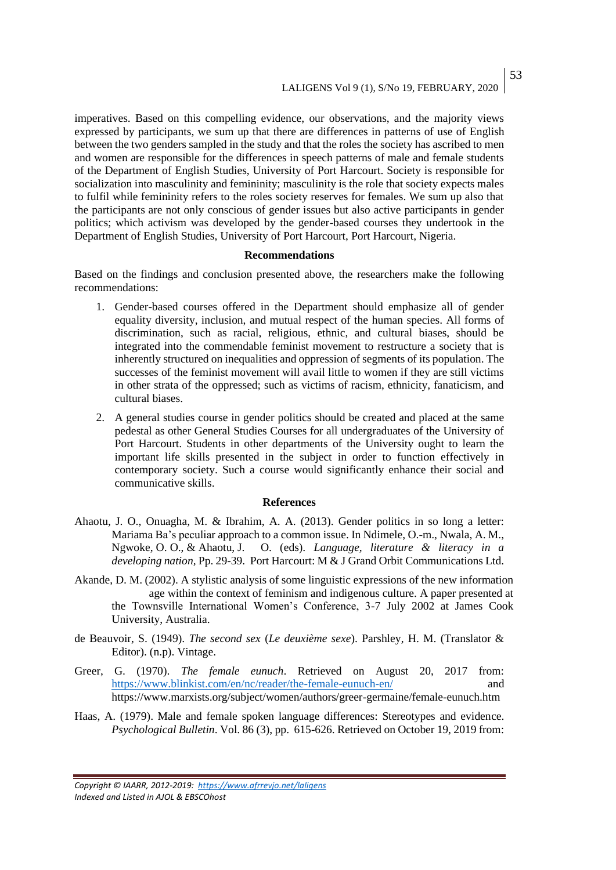53

imperatives. Based on this compelling evidence, our observations, and the majority views expressed by participants, we sum up that there are differences in patterns of use of English between the two genders sampled in the study and that the roles the society has ascribed to men and women are responsible for the differences in speech patterns of male and female students of the Department of English Studies, University of Port Harcourt. Society is responsible for socialization into masculinity and femininity; masculinity is the role that society expects males to fulfil while femininity refers to the roles society reserves for females. We sum up also that the participants are not only conscious of gender issues but also active participants in gender politics; which activism was developed by the gender-based courses they undertook in the Department of English Studies, University of Port Harcourt, Port Harcourt, Nigeria.

#### **Recommendations**

Based on the findings and conclusion presented above, the researchers make the following recommendations:

- 1. Gender-based courses offered in the Department should emphasize all of gender equality diversity, inclusion, and mutual respect of the human species. All forms of discrimination, such as racial, religious, ethnic, and cultural biases, should be integrated into the commendable feminist movement to restructure a society that is inherently structured on inequalities and oppression of segments of its population. The successes of the feminist movement will avail little to women if they are still victims in other strata of the oppressed; such as victims of racism, ethnicity, fanaticism, and cultural biases.
- 2. A general studies course in gender politics should be created and placed at the same pedestal as other General Studies Courses for all undergraduates of the University of Port Harcourt. Students in other departments of the University ought to learn the important life skills presented in the subject in order to function effectively in contemporary society. Such a course would significantly enhance their social and communicative skills.

#### **References**

- Ahaotu, J. O., Onuagha, M. & Ibrahim, A. A. (2013). Gender politics in so long a letter: Mariama Ba's peculiar approach to a common issue. In Ndimele, O.-m., Nwala, A. M., Ngwoke, O. O., & Ahaotu, J. O. (eds). *Language, literature & literacy in a developing nation,* Pp. 29-39. Port Harcourt: M & J Grand Orbit Communications Ltd.
- Akande, D. M. (2002). A stylistic analysis of some linguistic expressions of the new information age within the context of feminism and indigenous culture. A paper presented at the Townsville International Women's Conference, 3-7 July 2002 at James Cook University, Australia.
- de Beauvoir, S. (1949). *The second sex* (*Le deuxième sexe*). Parshley, H. M. (Translator & Editor). (n.p). Vintage.
- Greer, G. (1970). *The female eunuch*. Retrieved on August 20, 2017 from: <https://www.blinkist.com/en/nc/reader/the-female-eunuch-en/> and https://www.marxists.org/subject/women/authors/greer-germaine/female-eunuch.htm
- Haas, A. (1979). Male and female spoken language differences: Stereotypes and evidence. *Psychological Bulletin*. Vol. 86 (3), pp. 615-626. Retrieved on October 19, 2019 from:

*Copyright © IAARR, 2012-2019: <https://www.afrrevjo.net/laligens> Indexed and Listed in AJOL & EBSCOhost*